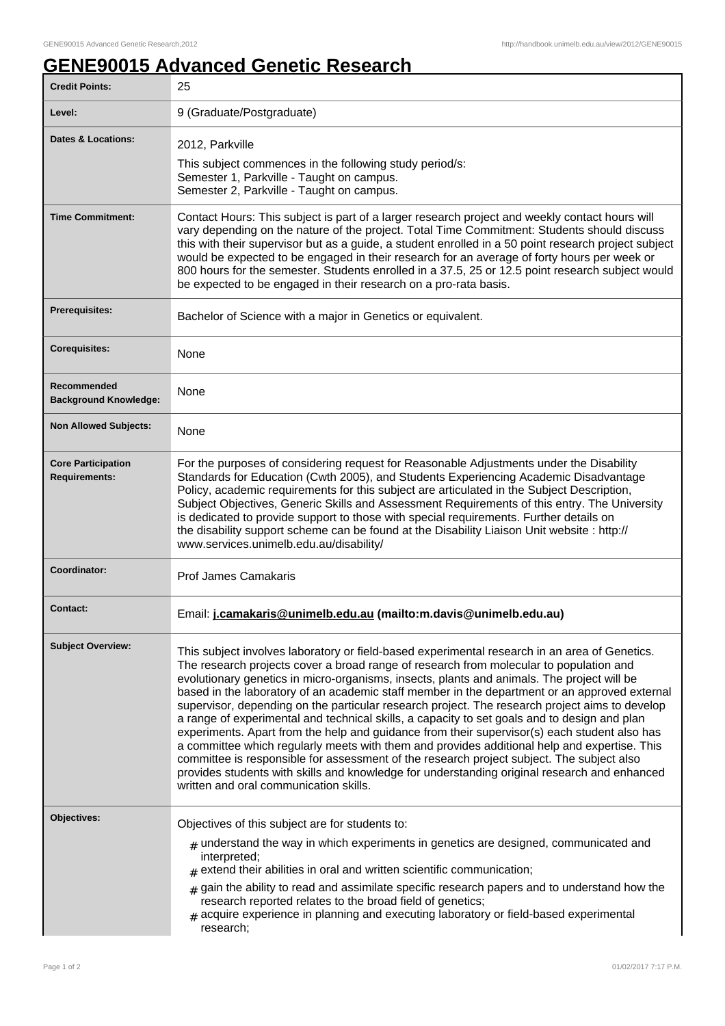٦

## **GENE90015 Advanced Genetic Research**

| 25                                                                                                                                                                                                                                                                                                                                                                                                                                                                                                                                                                                                                                                                                                                                                                                                                                                                                                                                                                                                                              |
|---------------------------------------------------------------------------------------------------------------------------------------------------------------------------------------------------------------------------------------------------------------------------------------------------------------------------------------------------------------------------------------------------------------------------------------------------------------------------------------------------------------------------------------------------------------------------------------------------------------------------------------------------------------------------------------------------------------------------------------------------------------------------------------------------------------------------------------------------------------------------------------------------------------------------------------------------------------------------------------------------------------------------------|
| 9 (Graduate/Postgraduate)                                                                                                                                                                                                                                                                                                                                                                                                                                                                                                                                                                                                                                                                                                                                                                                                                                                                                                                                                                                                       |
| 2012, Parkville<br>This subject commences in the following study period/s:<br>Semester 1, Parkville - Taught on campus.<br>Semester 2, Parkville - Taught on campus.                                                                                                                                                                                                                                                                                                                                                                                                                                                                                                                                                                                                                                                                                                                                                                                                                                                            |
| Contact Hours: This subject is part of a larger research project and weekly contact hours will<br>vary depending on the nature of the project. Total Time Commitment: Students should discuss<br>this with their supervisor but as a guide, a student enrolled in a 50 point research project subject<br>would be expected to be engaged in their research for an average of forty hours per week or<br>800 hours for the semester. Students enrolled in a 37.5, 25 or 12.5 point research subject would<br>be expected to be engaged in their research on a pro-rata basis.                                                                                                                                                                                                                                                                                                                                                                                                                                                    |
| Bachelor of Science with a major in Genetics or equivalent.                                                                                                                                                                                                                                                                                                                                                                                                                                                                                                                                                                                                                                                                                                                                                                                                                                                                                                                                                                     |
| None                                                                                                                                                                                                                                                                                                                                                                                                                                                                                                                                                                                                                                                                                                                                                                                                                                                                                                                                                                                                                            |
| None                                                                                                                                                                                                                                                                                                                                                                                                                                                                                                                                                                                                                                                                                                                                                                                                                                                                                                                                                                                                                            |
| None                                                                                                                                                                                                                                                                                                                                                                                                                                                                                                                                                                                                                                                                                                                                                                                                                                                                                                                                                                                                                            |
| For the purposes of considering request for Reasonable Adjustments under the Disability<br>Standards for Education (Cwth 2005), and Students Experiencing Academic Disadvantage<br>Policy, academic requirements for this subject are articulated in the Subject Description,<br>Subject Objectives, Generic Skills and Assessment Requirements of this entry. The University<br>is dedicated to provide support to those with special requirements. Further details on<br>the disability support scheme can be found at the Disability Liaison Unit website : http://<br>www.services.unimelb.edu.au/disability/                                                                                                                                                                                                                                                                                                                                                                                                               |
| <b>Prof James Camakaris</b>                                                                                                                                                                                                                                                                                                                                                                                                                                                                                                                                                                                                                                                                                                                                                                                                                                                                                                                                                                                                     |
| Email: j.camakaris@unimelb.edu.au (mailto:m.davis@unimelb.edu.au)                                                                                                                                                                                                                                                                                                                                                                                                                                                                                                                                                                                                                                                                                                                                                                                                                                                                                                                                                               |
| This subject involves laboratory or field-based experimental research in an area of Genetics.<br>The research projects cover a broad range of research from molecular to population and<br>evolutionary genetics in micro-organisms, insects, plants and animals. The project will be<br>based in the laboratory of an academic staff member in the department or an approved external<br>supervisor, depending on the particular research project. The research project aims to develop<br>a range of experimental and technical skills, a capacity to set goals and to design and plan<br>experiments. Apart from the help and guidance from their supervisor(s) each student also has<br>a committee which regularly meets with them and provides additional help and expertise. This<br>committee is responsible for assessment of the research project subject. The subject also<br>provides students with skills and knowledge for understanding original research and enhanced<br>written and oral communication skills. |
| Objectives of this subject are for students to:<br>$_{\#}$ understand the way in which experiments in genetics are designed, communicated and<br>interpreted;<br>$*$ extend their abilities in oral and written scientific communication;<br>gain the ability to read and assimilate specific research papers and to understand how the<br>#<br>research reported relates to the broad field of genetics;<br># acquire experience in planning and executing laboratory or field-based experimental<br>research;                                                                                                                                                                                                                                                                                                                                                                                                                                                                                                                 |
|                                                                                                                                                                                                                                                                                                                                                                                                                                                                                                                                                                                                                                                                                                                                                                                                                                                                                                                                                                                                                                 |